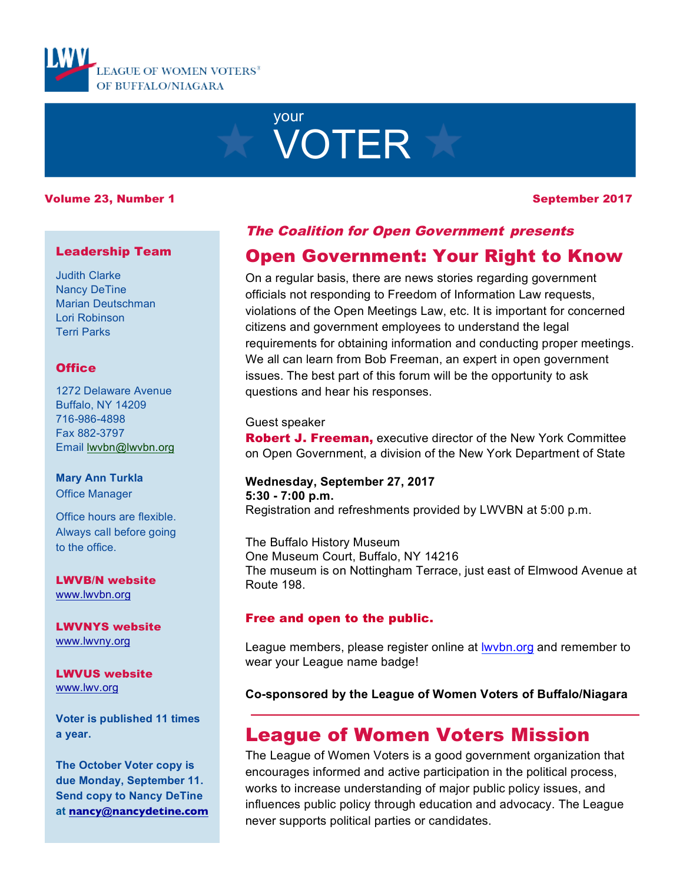

# your VOTER

#### Volume 23, Number 1 September 2017

#### Leadership Team

Judith Clarke Nancy DeTine Marian Deutschman Lori Robinson Terri Parks

#### **Office**

1272 Delaware Avenue Buffalo, NY 14209 716-986-4898 Fax 882-3797 Email lwvbn@lwvbn.org

#### **Mary Ann Turkla** Office Manager

Office hours are flexible. Always call before going to the office.

LWVB/N website www.lwvbn.org

LWVNYS website www.lwvny.org

LWVUS website www.lwv.org

**Voter is published 11 times a year.**

**The October Voter copy is due Monday, September 11. Send copy to Nancy DeTine at nancy@nancydetine.com**

# The Coalition for Open Government presents

# Open Government: Your Right to Know

On a regular basis, there are news stories regarding government officials not responding to Freedom of Information Law requests, violations of the Open Meetings Law, etc. It is important for concerned citizens and government employees to understand the legal requirements for obtaining information and conducting proper meetings. We all can learn from Bob Freeman, an expert in open government issues. The best part of this forum will be the opportunity to ask questions and hear his responses.

#### Guest speaker

**Robert J. Freeman, executive director of the New York Committee** on Open Government, a division of the New York Department of State

# **Wednesday, September 27, 2017 5:30 - 7:00 p.m.**

Registration and refreshments provided by LWVBN at 5:00 p.m.

The Buffalo History Museum One Museum Court, Buffalo, NY 14216 The museum is on Nottingham Terrace, just east of Elmwood Avenue at Route 198.

#### Free and open to the public.

League members, please register online at lwvbn.org and remember to wear your League name badge!

**Co-sponsored by the League of Women Voters of Buffalo/Niagara**

# League of Women Voters Mission

The League of Women Voters is a good government organization that encourages informed and active participation in the political process, works to increase understanding of major public policy issues, and influences public policy through education and advocacy. The League never supports political parties or candidates.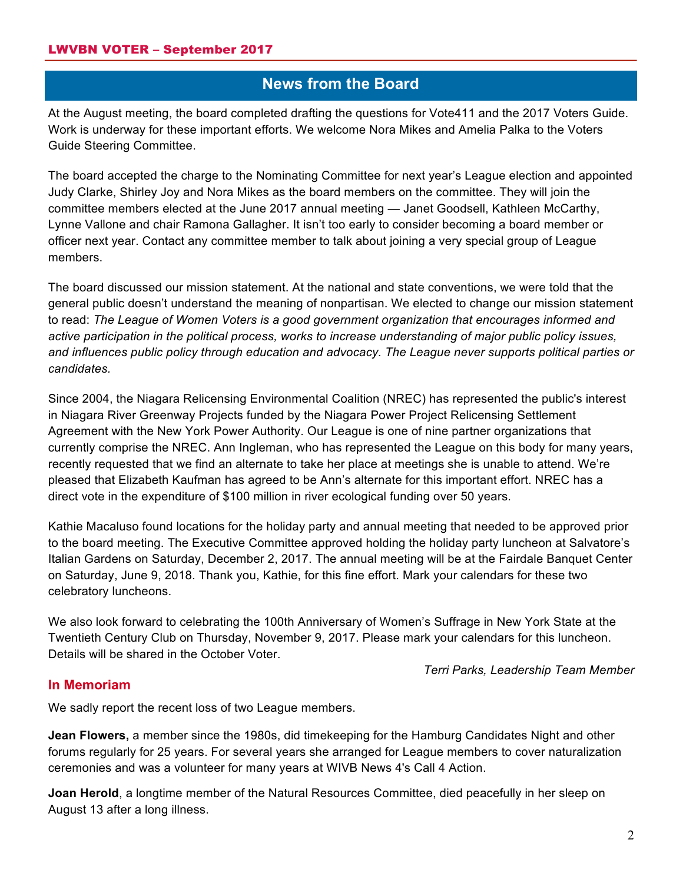# **News from the Board**

At the August meeting, the board completed drafting the questions for Vote411 and the 2017 Voters Guide. Work is underway for these important efforts. We welcome Nora Mikes and Amelia Palka to the Voters Guide Steering Committee.

The board accepted the charge to the Nominating Committee for next year's League election and appointed Judy Clarke, Shirley Joy and Nora Mikes as the board members on the committee. They will join the committee members elected at the June 2017 annual meeting — Janet Goodsell, Kathleen McCarthy, Lynne Vallone and chair Ramona Gallagher. It isn't too early to consider becoming a board member or officer next year. Contact any committee member to talk about joining a very special group of League members.

The board discussed our mission statement. At the national and state conventions, we were told that the general public doesn't understand the meaning of nonpartisan. We elected to change our mission statement to read: *The League of Women Voters is a good government organization that encourages informed and active participation in the political process, works to increase understanding of major public policy issues, and influences public policy through education and advocacy. The League never supports political parties or candidates.*

Since 2004, the Niagara Relicensing Environmental Coalition (NREC) has represented the public's interest in Niagara River Greenway Projects funded by the Niagara Power Project Relicensing Settlement Agreement with the New York Power Authority. Our League is one of nine partner organizations that currently comprise the NREC. Ann Ingleman, who has represented the League on this body for many years, recently requested that we find an alternate to take her place at meetings she is unable to attend. We're pleased that Elizabeth Kaufman has agreed to be Ann's alternate for this important effort. NREC has a direct vote in the expenditure of \$100 million in river ecological funding over 50 years.

Kathie Macaluso found locations for the holiday party and annual meeting that needed to be approved prior to the board meeting. The Executive Committee approved holding the holiday party luncheon at Salvatore's Italian Gardens on Saturday, December 2, 2017. The annual meeting will be at the Fairdale Banquet Center on Saturday, June 9, 2018. Thank you, Kathie, for this fine effort. Mark your calendars for these two celebratory luncheons.

We also look forward to celebrating the 100th Anniversary of Women's Suffrage in New York State at the Twentieth Century Club on Thursday, November 9, 2017. Please mark your calendars for this luncheon. Details will be shared in the October Voter.

*Terri Parks, Leadership Team Member*

#### **In Memoriam**

We sadly report the recent loss of two League members.

**Jean Flowers,** a member since the 1980s, did timekeeping for the Hamburg Candidates Night and other forums regularly for 25 years. For several years she arranged for League members to cover naturalization ceremonies and was a volunteer for many years at WIVB News 4's Call 4 Action.

**Joan Herold**, a longtime member of the Natural Resources Committee, died peacefully in her sleep on August 13 after a long illness.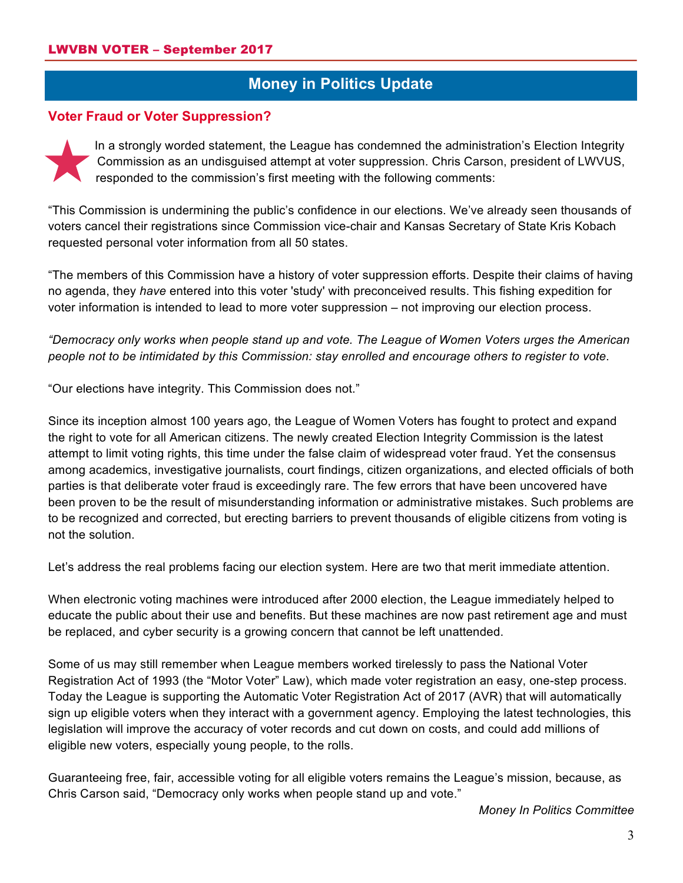# **Money in Politics Update**

#### **Voter Fraud or Voter Suppression?**

In a strongly worded statement, the League has condemned the administration's Election Integrity Commission as an undisguised attempt at voter suppression. Chris Carson, president of LWVUS, responded to the commission's first meeting with the following comments:

"This Commission is undermining the public's confidence in our elections. We've already seen thousands of voters cancel their registrations since Commission vice-chair and Kansas Secretary of State Kris Kobach requested personal voter information from all 50 states.

"The members of this Commission have a history of voter suppression efforts. Despite their claims of having no agenda, they *have* entered into this voter 'study' with preconceived results. This fishing expedition for voter information is intended to lead to more voter suppression – not improving our election process.

*"Democracy only works when people stand up and vote. The League of Women Voters urges the American people not to be intimidated by this Commission: stay enrolled and encourage others to register to vote*.

"Our elections have integrity. This Commission does not."

Since its inception almost 100 years ago, the League of Women Voters has fought to protect and expand the right to vote for all American citizens. The newly created Election Integrity Commission is the latest attempt to limit voting rights, this time under the false claim of widespread voter fraud. Yet the consensus among academics, investigative journalists, court findings, citizen organizations, and elected officials of both parties is that deliberate voter fraud is exceedingly rare. The few errors that have been uncovered have been proven to be the result of misunderstanding information or administrative mistakes. Such problems are to be recognized and corrected, but erecting barriers to prevent thousands of eligible citizens from voting is not the solution.

Let's address the real problems facing our election system. Here are two that merit immediate attention.

When electronic voting machines were introduced after 2000 election, the League immediately helped to educate the public about their use and benefits. But these machines are now past retirement age and must be replaced, and cyber security is a growing concern that cannot be left unattended.

Some of us may still remember when League members worked tirelessly to pass the National Voter Registration Act of 1993 (the "Motor Voter" Law), which made voter registration an easy, one-step process. Today the League is supporting the Automatic Voter Registration Act of 2017 (AVR) that will automatically sign up eligible voters when they interact with a government agency. Employing the latest technologies, this legislation will improve the accuracy of voter records and cut down on costs, and could add millions of eligible new voters, especially young people, to the rolls.

Guaranteeing free, fair, accessible voting for all eligible voters remains the League's mission, because, as Chris Carson said, "Democracy only works when people stand up and vote."

*Money In Politics Committee*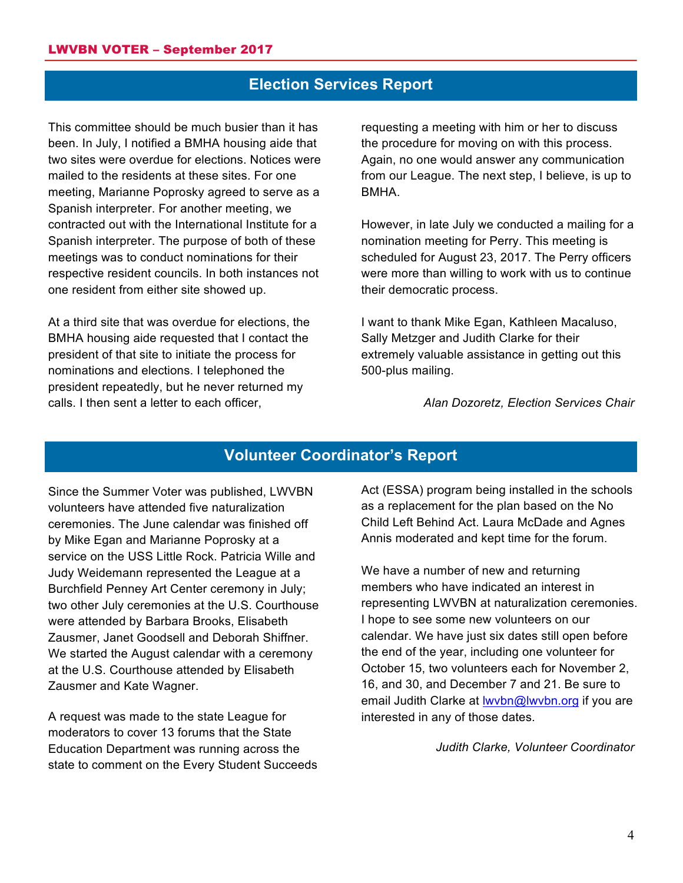# **Election Services Report**

This committee should be much busier than it has been. In July, I notified a BMHA housing aide that two sites were overdue for elections. Notices were mailed to the residents at these sites. For one meeting, Marianne Poprosky agreed to serve as a Spanish interpreter. For another meeting, we contracted out with the International Institute for a Spanish interpreter. The purpose of both of these meetings was to conduct nominations for their respective resident councils. In both instances not one resident from either site showed up.

At a third site that was overdue for elections, the BMHA housing aide requested that I contact the president of that site to initiate the process for nominations and elections. I telephoned the president repeatedly, but he never returned my calls. I then sent a letter to each officer,

requesting a meeting with him or her to discuss the procedure for moving on with this process. Again, no one would answer any communication from our League. The next step, I believe, is up to BMHA.

However, in late July we conducted a mailing for a nomination meeting for Perry. This meeting is scheduled for August 23, 2017. The Perry officers were more than willing to work with us to continue their democratic process.

I want to thank Mike Egan, Kathleen Macaluso, Sally Metzger and Judith Clarke for their extremely valuable assistance in getting out this 500-plus mailing.

*Alan Dozoretz, Election Services Chair*

### **Volunteer Coordinator's Report**

Since the Summer Voter was published, LWVBN volunteers have attended five naturalization ceremonies. The June calendar was finished off by Mike Egan and Marianne Poprosky at a service on the USS Little Rock. Patricia Wille and Judy Weidemann represented the League at a Burchfield Penney Art Center ceremony in July; two other July ceremonies at the U.S. Courthouse were attended by Barbara Brooks, Elisabeth Zausmer, Janet Goodsell and Deborah Shiffner. We started the August calendar with a ceremony at the U.S. Courthouse attended by Elisabeth Zausmer and Kate Wagner.

A request was made to the state League for moderators to cover 13 forums that the State Education Department was running across the state to comment on the Every Student Succeeds Act (ESSA) program being installed in the schools as a replacement for the plan based on the No Child Left Behind Act. Laura McDade and Agnes Annis moderated and kept time for the forum.

We have a number of new and returning members who have indicated an interest in representing LWVBN at naturalization ceremonies. I hope to see some new volunteers on our calendar. We have just six dates still open before the end of the year, including one volunteer for October 15, two volunteers each for November 2, 16, and 30, and December 7 and 21. Be sure to email Judith Clarke at Iwvbn@lwvbn.org if you are interested in any of those dates.

*Judith Clarke, Volunteer Coordinator*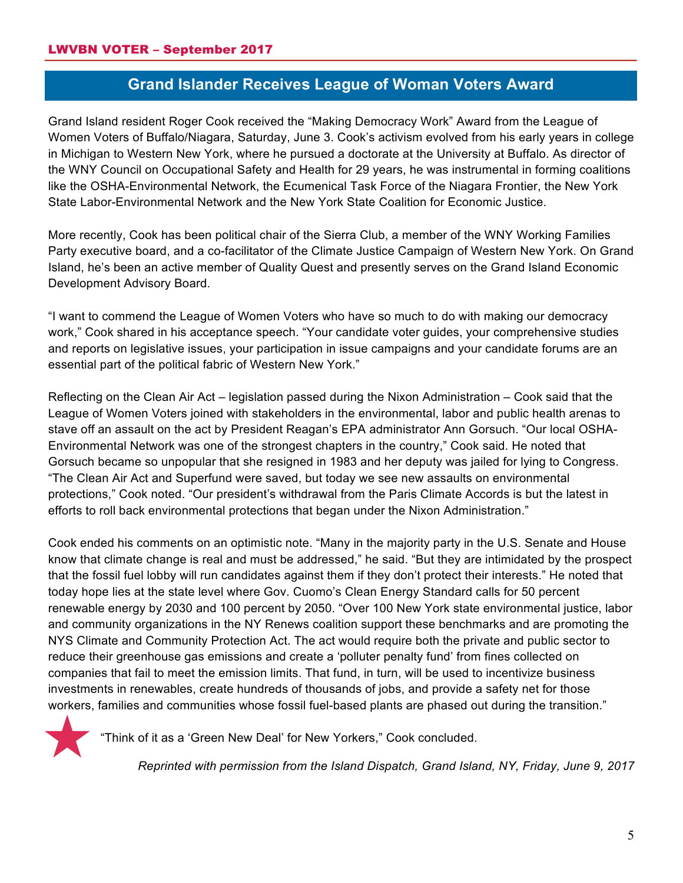# **Grand Islander Receives League of Woman Voters Award**

Grand Island resident Roger Cook received the "Making Democracy Work" Award from the League of Women Voters of Buffalo/Niagara, Saturday, June 3. Cook's activism evolved from his early years in college in Michigan to Western New York, where he pursued a doctorate at the University at Buffalo. As director of the WNY Council on Occupational Safety and Health for 29 years, he was instrumental in forming coalitions like the OSHA-Environmental Network, the Ecumenical Task Force of the Niagara Frontier, the New York State Labor-Environmental Network and the New York State Coalition for Economic Justice.

More recently, Cook has been political chair of the Sierra Club, a member of the WNY Working Families Party executive board, and a co-facilitator of the Climate Justice Campaign of Western New York. On Grand Island, he's been an active member of Quality Quest and presently serves on the Grand Island Economic Development Advisory Board.

"I want to commend the League of Women Voters who have so much to do with making our democracy work," Cook shared in his acceptance speech. "Your candidate voter guides, your comprehensive studies and reports on legislative issues, your participation in issue campaigns and your candidate forums are an essential part of the political fabric of Western New York."

Reflecting on the Clean Air Act – legislation passed during the Nixon Administration – Cook said that the League of Women Voters joined with stakeholders in the environmental, labor and public health arenas to stave off an assault on the act by President Reagan's EPA administrator Ann Gorsuch. "Our local OSHA-Environmental Network was one of the strongest chapters in the country," Cook said. He noted that Gorsuch became so unpopular that she resigned in 1983 and her deputy was jailed for lying to Congress. "The Clean Air Act and Superfund were saved, but today we see new assaults on environmental protections," Cook noted. "Our president's withdrawal from the Paris Climate Accords is but the latest in efforts to roll back environmental protections that began under the Nixon Administration."

Cook ended his comments on an optimistic note. "Many in the majority party in the U.S. Senate and House know that climate change is real and must be addressed," he said. "But they are intimidated by the prospect that the fossil fuel lobby will run candidates against them if they don't protect their interests." He noted that today hope lies at the state level where Gov. Cuomo's Clean Energy Standard calls for 50 percent renewable energy by 2030 and 100 percent by 2050. "Over 100 New York state environmental justice, labor and community organizations in the NY Renews coalition support these benchmarks and are promoting the NYS Climate and Community Protection Act. The act would require both the private and public sector to reduce their greenhouse gas emissions and create a 'polluter penalty fund' from fines collected on companies that fail to meet the emission limits. That fund, in turn, will be used to incentivize business investments in renewables, create hundreds of thousands of jobs, and provide a safety net for those workers, families and communities whose fossil fuel-based plants are phased out during the transition."



"Think of it as a 'Green New Deal' for New Yorkers," Cook concluded.

*Reprinted with permission from the Island Dispatch, Grand Island, NY, Friday, June 9, 2017*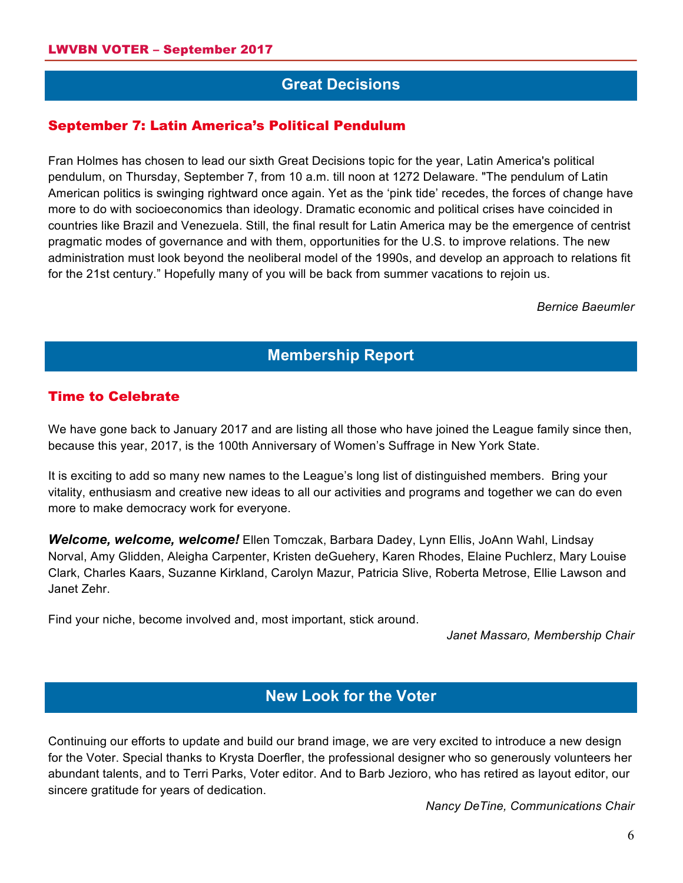# **Great Decisions**

#### September 7: Latin America's Political Pendulum

Fran Holmes has chosen to lead our sixth Great Decisions topic for the year, Latin America's political pendulum, on Thursday, September 7, from 10 a.m. till noon at 1272 Delaware. "The pendulum of Latin American politics is swinging rightward once again. Yet as the 'pink tide' recedes, the forces of change have more to do with socioeconomics than ideology. Dramatic economic and political crises have coincided in countries like Brazil and Venezuela. Still, the final result for Latin America may be the emergence of centrist pragmatic modes of governance and with them, opportunities for the U.S. to improve relations. The new administration must look beyond the neoliberal model of the 1990s, and develop an approach to relations fit for the 21st century." Hopefully many of you will be back from summer vacations to rejoin us.

*Bernice Baeumler*

#### **Membership Report**

#### Time to Celebrate

We have gone back to January 2017 and are listing all those who have joined the League family since then, because this year, 2017, is the 100th Anniversary of Women's Suffrage in New York State.

It is exciting to add so many new names to the League's long list of distinguished members. Bring your vitality, enthusiasm and creative new ideas to all our activities and programs and together we can do even more to make democracy work for everyone.

*Welcome, welcome, welcome!* Ellen Tomczak, Barbara Dadey, Lynn Ellis, JoAnn Wahl, Lindsay Norval, Amy Glidden, Aleigha Carpenter, Kristen deGuehery, Karen Rhodes, Elaine Puchlerz, Mary Louise Clark, Charles Kaars, Suzanne Kirkland, Carolyn Mazur, Patricia Slive, Roberta Metrose, Ellie Lawson and Janet Zehr.

Find your niche, become involved and, most important, stick around.

*Janet Massaro, Membership Chair*

# **New Look for the Voter**

Continuing our efforts to update and build our brand image, we are very excited to introduce a new design for the Voter. Special thanks to Krysta Doerfler, the professional designer who so generously volunteers her abundant talents, and to Terri Parks, Voter editor. And to Barb Jezioro, who has retired as layout editor, our sincere gratitude for years of dedication.

*Nancy DeTine, Communications Chair*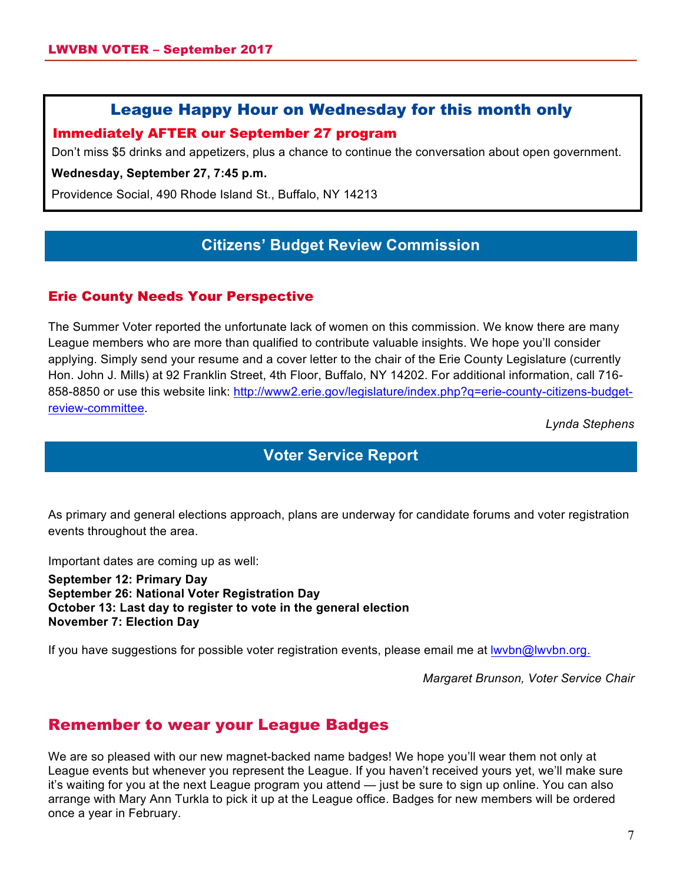### League Happy Hour on Wednesday for this month only

#### Immediately AFTER our September 27 program

Don't miss \$5 drinks and appetizers, plus a chance to continue the conversation about open government.

**Wednesday, September 27, 7:45 p.m.**

Providence Social, 490 Rhode Island St., Buffalo, NY 14213

# **Citizens' Budget Review Commission**

#### Erie County Needs Your Perspective

The Summer Voter reported the unfortunate lack of women on this commission. We know there are many League members who are more than qualified to contribute valuable insights. We hope you'll consider applying. Simply send your resume and a cover letter to the chair of the Erie County Legislature (currently Hon. John J. Mills) at 92 Franklin Street, 4th Floor, Buffalo, NY 14202. For additional information, call 716- 858-8850 or use this website link: http://www2.erie.gov/legislature/index.php?q=erie-county-citizens-budgetreview-committee.

*Lynda Stephens*

### **Voter Service Report**

As primary and general elections approach, plans are underway for candidate forums and voter registration events throughout the area.

Important dates are coming up as well:

**September 12: Primary Day September 26: National Voter Registration Day October 13: Last day to register to vote in the general election November 7: Election Day**

If you have suggestions for possible voter registration events, please email me at Iwvbn@lwvbn.org.

*Margaret Brunson, Voter Service Chair*

# Remember to wear your League Badges

We are so pleased with our new magnet-backed name badges! We hope you'll wear them not only at League events but whenever you represent the League. If you haven't received yours yet, we'll make sure it's waiting for you at the next League program you attend — just be sure to sign up online. You can also arrange with Mary Ann Turkla to pick it up at the League office. Badges for new members will be ordered once a year in February.